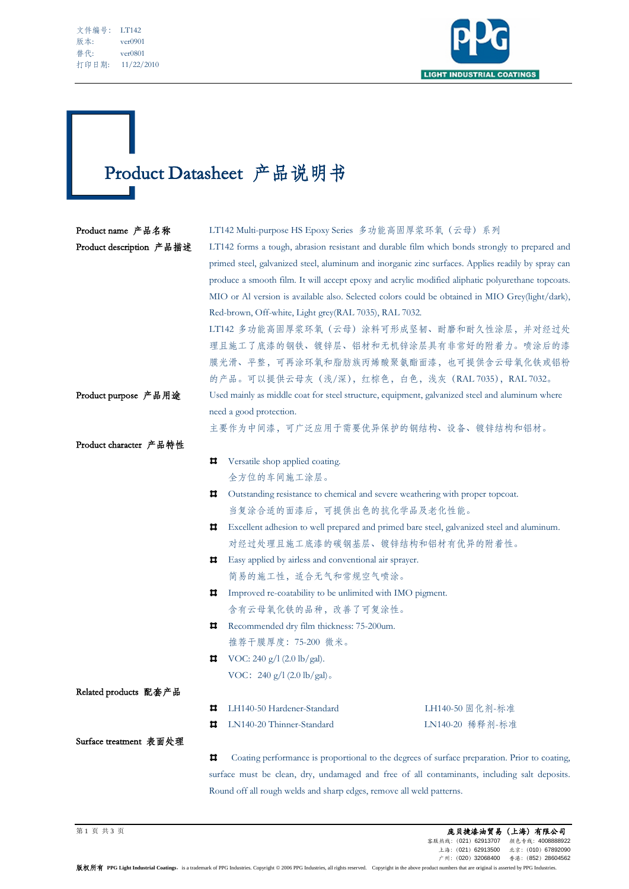| 文件编号: | LT142      |
|-------|------------|
| 版本:   | ver0901    |
| 替代:   | ver0801    |
| 打印日期: | 11/22/2010 |

Ī



## Product Datasheet 产品说明书

| Product name 产品名称        |                                                                                                | LT142 Multi-purpose HS Epoxy Series 多功能高固厚浆环氧 (云母) 系列                                              |                 |  |
|--------------------------|------------------------------------------------------------------------------------------------|----------------------------------------------------------------------------------------------------|-----------------|--|
| Product description 产品描述 | LT142 forms a tough, abrasion resistant and durable film which bonds strongly to prepared and  |                                                                                                    |                 |  |
|                          |                                                                                                | primed steel, galvanized steel, aluminum and inorganic zinc surfaces. Applies readily by spray can |                 |  |
|                          |                                                                                                | produce a smooth film. It will accept epoxy and acrylic modified aliphatic polyurethane topcoats.  |                 |  |
|                          |                                                                                                | MIO or Al version is available also. Selected colors could be obtained in MIO Grey(light/dark),    |                 |  |
|                          | Red-brown, Off-white, Light grey(RAL 7035), RAL 7032.                                          |                                                                                                    |                 |  |
|                          | LT142 多功能高固厚浆环氧(云母)涂料可形成坚韧、耐磨和耐久性涂层,并对经过处                                                      |                                                                                                    |                 |  |
|                          | 理且施工了底漆的钢铁、镀锌层、铝材和无机锌涂层具有非常好的附着力。喷涂后的漆                                                         |                                                                                                    |                 |  |
|                          | 膜光滑、平整,可再涂环氧和脂肪族丙烯酸聚氨酯面漆,也可提供含云母氧化铁或铝粉                                                         |                                                                                                    |                 |  |
|                          |                                                                                                | 的产品。可以提供云母灰 (浅/深), 红棕色, 白色, 浅灰 (RAL 7035), RAL 7032。                                               |                 |  |
| Product purpose 产品用途     | Used mainly as middle coat for steel structure, equipment, galvanized steel and aluminum where |                                                                                                    |                 |  |
|                          | need a good protection.                                                                        |                                                                                                    |                 |  |
|                          |                                                                                                | 主要作为中间漆,可广泛应用于需要优异保护的钢结构、设备、镀锌结构和铝材。                                                               |                 |  |
| Product character 产品特性   |                                                                                                |                                                                                                    |                 |  |
|                          | ᄑ                                                                                              | Versatile shop applied coating.                                                                    |                 |  |
|                          |                                                                                                | 全方位的车间施工涂层。                                                                                        |                 |  |
|                          | ㅁ                                                                                              | Outstanding resistance to chemical and severe weathering with proper topcoat.                      |                 |  |
|                          |                                                                                                | 当复涂合适的面漆后,可提供出色的抗化学品及老化性能。                                                                         |                 |  |
|                          | ㅁ                                                                                              | Excellent adhesion to well prepared and primed bare steel, galvanized steel and aluminum.          |                 |  |
|                          |                                                                                                | 对经过处理且施工底漆的碳钢基层、镀锌结构和铝材有优异的附着性。                                                                    |                 |  |
|                          | ᄇ                                                                                              | Easy applied by airless and conventional air sprayer.                                              |                 |  |
|                          |                                                                                                | 简易的施工性, 适合无气和常规空气喷涂。                                                                               |                 |  |
|                          | Improved re-coatability to be unlimited with IMO pigment.<br>ᄇ                                 |                                                                                                    |                 |  |
|                          |                                                                                                | 含有云母氧化铁的品种,改善了可复涂性。                                                                                |                 |  |
|                          | ᄑ                                                                                              | Recommended dry film thickness: 75-200um.                                                          |                 |  |
|                          |                                                                                                | 推荐干膜厚度: 75-200 微米。                                                                                 |                 |  |
|                          | ㅁ                                                                                              | VOC: 240 g/l (2.0 lb/gal).                                                                         |                 |  |
|                          |                                                                                                | VOC: $240 g/l (2.0 lb/gal)$ .                                                                      |                 |  |
| Related products 配套产品    |                                                                                                |                                                                                                    |                 |  |
|                          | ц                                                                                              | LH140-50 Hardener-Standard                                                                         | LH140-50 固化剂-标准 |  |
|                          | Ħ                                                                                              | LN140-20 Thinner-Standard                                                                          | LN140-20 稀释剂-标准 |  |
| Surface treatment 表面处理   |                                                                                                |                                                                                                    |                 |  |
|                          | ц                                                                                              | Coating performance is proportional to the degrees of surface preparation. Prior to coating,       |                 |  |
|                          | surface must be clean, dry, undamaged and free of all contaminants, including salt deposits.   |                                                                                                    |                 |  |

Round off all rough welds and sharp edges, remove all weld patterns.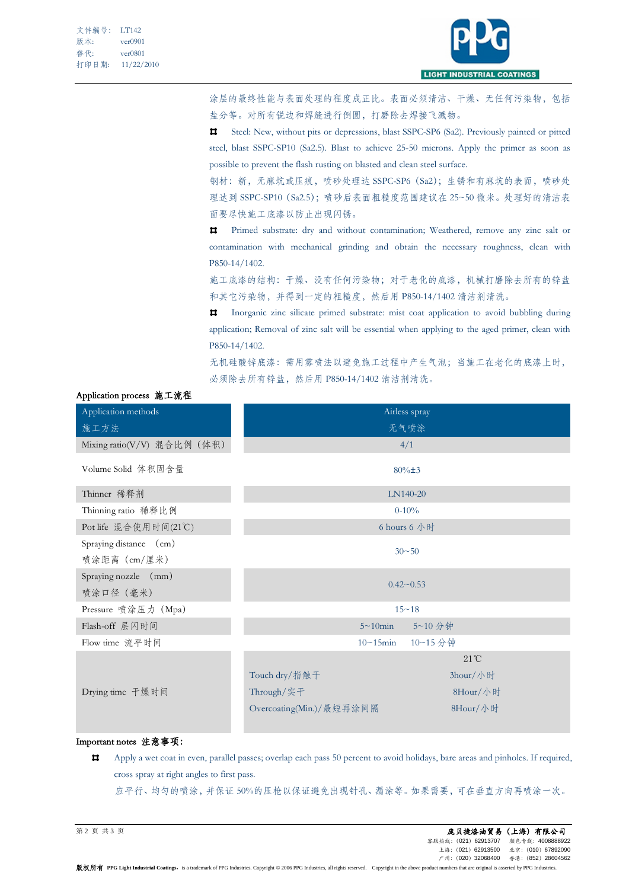

涂层的最终性能与表面处理的程度成正比。表面必须清洁、干燥、无任何污染物,包括 盐分等。对所有锐边和焊缝进行倒圆,打磨除去焊接飞溅物。

Steel: New, without pits or depressions, blast SSPC-SP6 (Sa2). Previously painted or pitted steel, blast SSPC-SP10 (Sa2.5). Blast to achieve 25-50 microns. Apply the primer as soon as possible to prevent the flash rusting on blasted and clean steel surface.

钢材:新,无麻坑或压痕,喷砂处理达 SSPC-SP6(Sa2);生锈和有麻坑的表面,喷砂处 理达到 SSPC-SP10 (Sa2.5);喷砂后表面粗糙度范围建议在 25~50 微米。处理好的清洁表 面要尽快施工底漆以防止出现闪锈。

Ħ Primed substrate: dry and without contamination; Weathered, remove any zinc salt or contamination with mechanical grinding and obtain the necessary roughness, clean with P850-14/1402.

施工底漆的结构:干燥、没有任何污染物;对于老化的底漆,机械打磨除去所有的锌盐 和其它污染物,并得到一定的粗糙度,然后用 P850-14/1402 清洁剂清洗。

Inorganic zinc silicate primed substrate: mist coat application to avoid bubbling during application; Removal of zinc salt will be essential when applying to the aged primer, clean with P850-14/1402.

无机硅酸锌底漆:需用雾喷法以避免施工过程中产生气泡;当施工在老化的底漆上时, 必须除去所有锌盐,然后用 P850-14/1402 清洁剂清洗。

| Application methods         | Airless spray            |                |  |
|-----------------------------|--------------------------|----------------|--|
| 施工方法                        | 无气喷涂                     |                |  |
| Mixing ratio(V/V) 混合比例 (体积) |                          | 4/1            |  |
| Volume Solid 体积固含量          | $80\% \pm 3$             |                |  |
| Thinner 稀释剂                 | LN140-20                 |                |  |
| Thinning ratio 稀释比例         | $0 - 10\%$               |                |  |
| Pot life 混合使用时间(21℃)        | 6 hours 6 小时             |                |  |
| Spraying distance (cm)      | $30 - 50$                |                |  |
| 喷涂距离 (cm/厘米)                |                          |                |  |
| Spraying nozzle (mm)        | $0.42 - 0.53$            |                |  |
| 喷涂口径 (毫米)                   |                          |                |  |
| Pressure 喷涂压力 (Mpa)         | $15 - 18$                |                |  |
| Flash-off 层闪时间              | $5 \sim 10$ min          | 5~10 分钟        |  |
| Flow time 流平时间              | $10 \sim 15$ min         | 10~15 分钟       |  |
|                             |                          | $21^{\circ}$ C |  |
|                             | Touch dry/指触干            | 3hour/小时       |  |
| Drying time 干燥时间            | Through/实子               | 8Hour/小时       |  |
|                             | Overcoating(Min.)/最短再涂间隔 | 8Hour/小时       |  |
|                             |                          |                |  |

## Application process 施工流程

## Important notes 注意事项:

Ħ. Apply a wet coat in even, parallel passes; overlap each pass 50 percent to avoid holidays, bare areas and pinholes. If required, cross spray at right angles to first pass.

应平行、均匀的喷涂,并保证 50%的压枪以保证避免出现针孔、漏涂等。如果需要,可在垂直方向再喷涂一次。